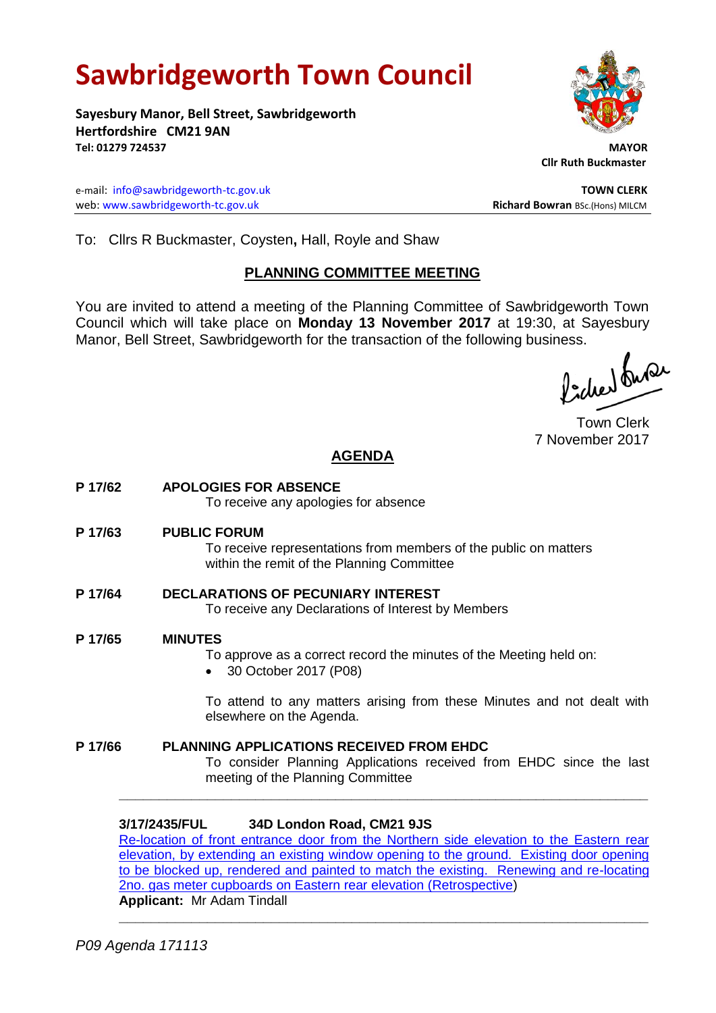# **Sawbridgeworth Town Council**

**Sayesbury Manor, Bell Street, Sawbridgeworth Hertfordshire CM21 9AN Tel: 01279 724537 MAYOR**

e-mail: [info@sawbridgeworth-tc.gov.uk](mailto:info@sawbridgeworth-tc.gov.uk) **TOWN CLERK** web: www.sawbridgeworth-tc.gov.uk<br> **Richard Bowran** BSc.(Hons) MILCM

 **Cllr Ruth Buckmaster** 

To: Cllrs R Buckmaster, Coysten**,** Hall, Royle and Shaw

# **PLANNING COMMITTEE MEETING**

You are invited to attend a meeting of the Planning Committee of Sawbridgeworth Town Council which will take place on **Monday 13 November 2017** at 19:30, at Sayesbury Manor, Bell Street, Sawbridgeworth for the transaction of the following business.<br>  $\Lambda$ ,  $\Lambda$ ,  $\Lambda$ ,  $\Omega$ 

Town Clerk 7 November 2017

# **AGENDA**

**P 17/62 APOLOGIES FOR ABSENCE**

To receive any apologies for absence

**P 17/63 PUBLIC FORUM**

To receive representations from members of the public on matters within the remit of the Planning Committee

- **P 17/64 DECLARATIONS OF PECUNIARY INTEREST** To receive any Declarations of Interest by Members
- **P 17/65 MINUTES**
	- To approve as a correct record the minutes of the Meeting held on:
	- 30 October 2017 (P08)

To attend to any matters arising from these Minutes and not dealt with elsewhere on the Agenda.

**P 17/66 PLANNING APPLICATIONS RECEIVED FROM EHDC** To consider Planning Applications received from EHDC since the last meeting of the Planning Committee **\_\_\_\_\_\_\_\_\_\_\_\_\_\_\_\_\_\_\_\_\_\_\_\_\_\_\_\_\_\_\_\_\_\_\_\_\_\_\_\_\_\_\_\_\_\_\_\_\_\_\_\_\_\_\_\_\_\_\_\_\_\_\_\_\_\_**

**3/17/2435/FUL 34D London Road, CM21 9JS** [Re-location of front entrance door from the Northern side elevation to the Eastern rear](https://publicaccess.eastherts.gov.uk/online-applications/applicationDetails.do?keyVal=OXZ33VGLIYH00&activeTab=summary)  [elevation, by extending an existing window opening to the ground. Existing door opening](https://publicaccess.eastherts.gov.uk/online-applications/applicationDetails.do?keyVal=OXZ33VGLIYH00&activeTab=summary)  [to be blocked up, rendered and painted to match the existing. Renewing and re-locating](https://publicaccess.eastherts.gov.uk/online-applications/applicationDetails.do?keyVal=OXZ33VGLIYH00&activeTab=summary)  [2no. gas meter cupboards on Eastern rear elevation \(Retrospective\)](https://publicaccess.eastherts.gov.uk/online-applications/applicationDetails.do?keyVal=OXZ33VGLIYH00&activeTab=summary) **Applicant:** Mr Adam Tindall

**\_\_\_\_\_\_\_\_\_\_\_\_\_\_\_\_\_\_\_\_\_\_\_\_\_\_\_\_\_\_\_\_\_\_\_\_\_\_\_\_\_\_\_\_\_\_\_\_\_\_\_\_\_\_\_\_\_\_\_\_\_\_\_\_\_\_**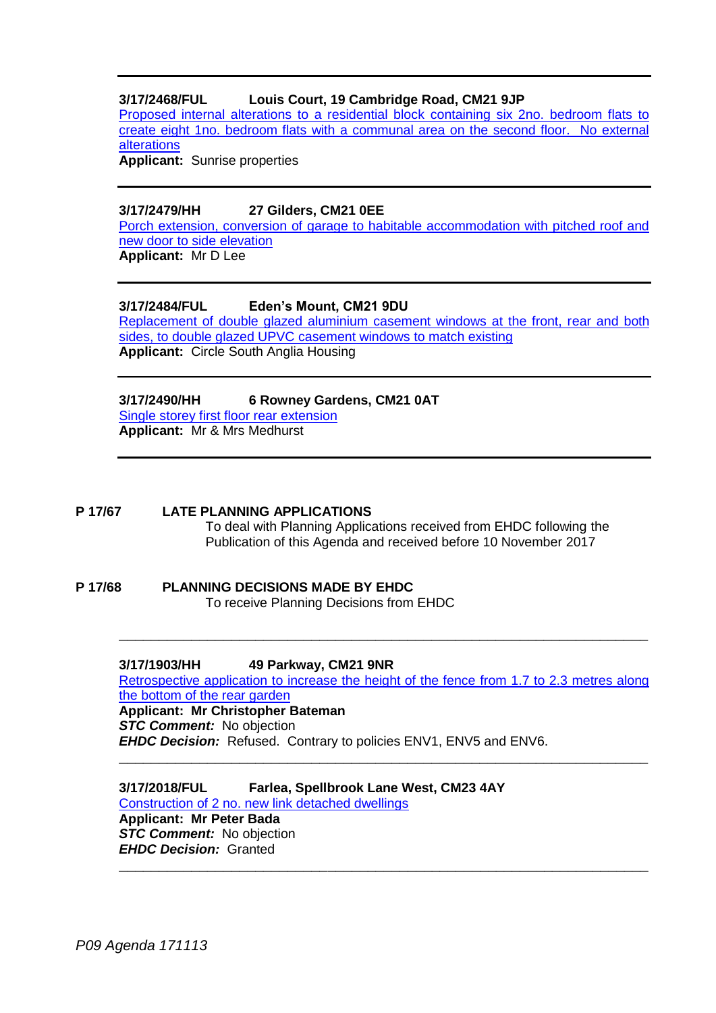# **3/17/2468/FUL Louis Court, 19 Cambridge Road, CM21 9JP**

[Proposed internal alterations to a residential block containing six 2no. bedroom flats to](https://publicaccess.eastherts.gov.uk/online-applications/applicationDetails.do?keyVal=OY2SGMGLIZZ00&activeTab=summary)  [create eight 1no. bedroom flats with a communal area on the second floor. No external](https://publicaccess.eastherts.gov.uk/online-applications/applicationDetails.do?keyVal=OY2SGMGLIZZ00&activeTab=summary)  [alterations](https://publicaccess.eastherts.gov.uk/online-applications/applicationDetails.do?keyVal=OY2SGMGLIZZ00&activeTab=summary)

**Applicant:** Sunrise properties

#### **3/17/2479/HH 27 Gilders, CM21 0EE**

[Porch extension, conversion of garage to habitable accommodation with pitched roof and](https://publicaccess.eastherts.gov.uk/online-applications/applicationDetails.do?keyVal=OY4N4SGLJ0R00&activeTab=summary)  [new door to side elevation](https://publicaccess.eastherts.gov.uk/online-applications/applicationDetails.do?keyVal=OY4N4SGLJ0R00&activeTab=summary)

**Applicant:** Mr D Lee

# **3/17/2484/FUL Eden's Mount, CM21 9DU**

[Replacement of double glazed aluminium casement windows at the front, rear and both](https://publicaccess.eastherts.gov.uk/online-applications/applicationDetails.do?keyVal=OY9PE6GL00X00&activeTab=summary)  [sides, to double glazed UPVC casement windows to match existing](https://publicaccess.eastherts.gov.uk/online-applications/applicationDetails.do?keyVal=OY9PE6GL00X00&activeTab=summary) **Applicant:** Circle South Anglia Housing

#### **3/17/2490/HH 6 Rowney Gardens, CM21 0AT** [Single storey first floor rear extension](https://publicaccess.eastherts.gov.uk/online-applications/applicationDetails.do?keyVal=OYA00JGL01D00&activeTab=summary)

**Applicant:** Mr & Mrs Medhurst

#### **P 17/67 LATE PLANNING APPLICATIONS**

To deal with Planning Applications received from EHDC following the Publication of this Agenda and received before 10 November 2017

#### **P 17/68 PLANNING DECISIONS MADE BY EHDC** To receive Planning Decisions from EHDC

**3/17/1903/HH 49 Parkway, CM21 9NR**

[Retrospective application to increase the height of the fence from 1.7 to 2.3 metres along](https://publicaccess.eastherts.gov.uk/online-applications/applicationDetails.do?keyVal=OUJ0GEGLI2V00&activeTab=summary)  [the bottom of the rear garden](https://publicaccess.eastherts.gov.uk/online-applications/applicationDetails.do?keyVal=OUJ0GEGLI2V00&activeTab=summary) **Applicant: Mr Christopher Bateman** *STC Comment:* No objection

**\_\_\_\_\_\_\_\_\_\_\_\_\_\_\_\_\_\_\_\_\_\_\_\_\_\_\_\_\_\_\_\_\_\_\_\_\_\_\_\_\_\_\_\_\_\_\_\_\_\_\_\_\_\_\_\_\_\_\_\_\_\_\_\_\_\_**

*EHDC Decision:* Refused. Contrary to policies ENV1, ENV5 and ENV6. **\_\_\_\_\_\_\_\_\_\_\_\_\_\_\_\_\_\_\_\_\_\_\_\_\_\_\_\_\_\_\_\_\_\_\_\_\_\_\_\_\_\_\_\_\_\_\_\_\_\_\_\_\_\_\_\_\_\_\_\_\_\_\_\_\_\_**

**3/17/2018/FUL Farlea, Spellbrook Lane West, CM23 4AY** [Construction of 2 no. new link detached dwellings](https://publicaccess.eastherts.gov.uk/online-applications/applicationDetails.do?keyVal=OVHVY5GLIA600&activeTab=summary) **Applicant: Mr Peter Bada STC Comment:** No objection *EHDC Decision:* Granted **\_\_\_\_\_\_\_\_\_\_\_\_\_\_\_\_\_\_\_\_\_\_\_\_\_\_\_\_\_\_\_\_\_\_\_\_\_\_\_\_\_\_\_\_\_\_\_\_\_\_\_\_\_\_\_\_\_\_\_\_\_\_\_\_\_\_**